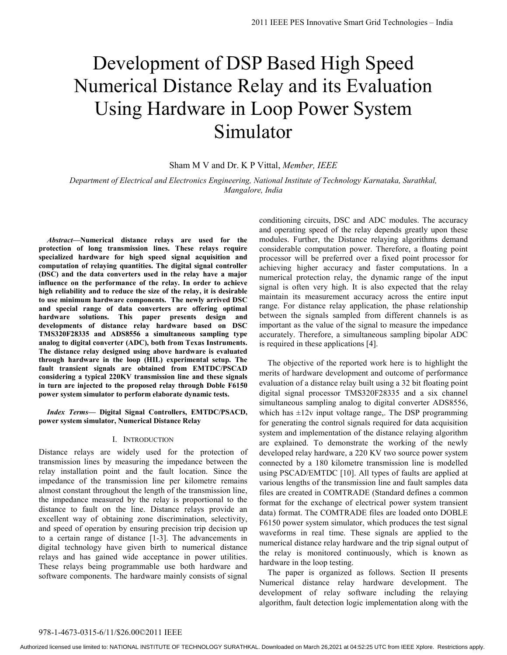# Development of DSP Based High Speed Numerical Distance Relay and its Evaluation Using Hardware in Loop Power System Simulator

Sham M V and Dr. K P Vittal, *Member, IEEE*

*Department of Electrical and Electronics Engineering, National Institute of Technology Karnataka, Surathkal, Mangalore, India* 

*Abstract***—Numerical distance relays are used for the protection of long transmission lines. These relays require specialized hardware for high speed signal acquisition and computation of relaying quantities. The digital signal controller (DSC) and the data converters used in the relay have a major influence on the performance of the relay. In order to achieve high reliability and to reduce the size of the relay, it is desirable to use minimum hardware components. The newly arrived DSC and special range of data converters are offering optimal hardware solutions. This paper presents design and developments of distance relay hardware based on DSC TMS320F28335 and ADS8556 a simultaneous sampling type analog to digital converter (ADC), both from Texas Instruments. The distance relay designed using above hardware is evaluated through hardware in the loop (HIL) experimental setup. The fault transient signals are obtained from EMTDC/PSCAD considering a typical 220KV transmission line and these signals in turn are injected to the proposed relay through Doble F6150 power system simulator to perform elaborate dynamic tests.** 

*Index Terms***— Digital Signal Controllers, EMTDC/PSACD, power system simulator, Numerical Distance Relay** 

#### I. INTRODUCTION

Distance relays are widely used for the protection of transmission lines by measuring the impedance between the relay installation point and the fault location. Since the impedance of the transmission line per kilometre remains almost constant throughout the length of the transmission line, the impedance measured by the relay is proportional to the distance to fault on the line. Distance relays provide an excellent way of obtaining zone discrimination, selectivity, and speed of operation by ensuring precision trip decision up to a certain range of distance [1-3]. The advancements in digital technology have given birth to numerical distance relays and has gained wide acceptance in power utilities. These relays being programmable use both hardware and software components. The hardware mainly consists of signal conditioning circuits, DSC and ADC modules. The accuracy and operating speed of the relay depends greatly upon these modules. Further, the Distance relaying algorithms demand considerable computation power. Therefore, a floating point processor will be preferred over a fixed point processor for achieving higher accuracy and faster computations. In a numerical protection relay, the dynamic range of the input signal is often very high. It is also expected that the relay maintain its measurement accuracy across the entire input range. For distance relay application, the phase relationship between the signals sampled from different channels is as important as the value of the signal to measure the impedance accurately. Therefore, a simultaneous sampling bipolar ADC is required in these applications [4].

The objective of the reported work here is to highlight the merits of hardware development and outcome of performance evaluation of a distance relay built using a 32 bit floating point digital signal processor TMS320F28335 and a six channel simultaneous sampling analog to digital converter ADS8556, which has  $\pm 12v$  input voltage range,. The DSP programming for generating the control signals required for data acquisition system and implementation of the distance relaying algorithm are explained. To demonstrate the working of the newly developed relay hardware, a 220 KV two source power system connected by a 180 kilometre transmission line is modelled using PSCAD/EMTDC [10]. All types of faults are applied at various lengths of the transmission line and fault samples data files are created in COMTRADE (Standard defines a common format for the exchange of electrical power system transient data) format. The COMTRADE files are loaded onto DOBLE F6150 power system simulator, which produces the test signal waveforms in real time. These signals are applied to the numerical distance relay hardware and the trip signal output of the relay is monitored continuously, which is known as hardware in the loop testing.

The paper is organized as follows. Section II presents Numerical distance relay hardware development. The development of relay software including the relaying algorithm, fault detection logic implementation along with the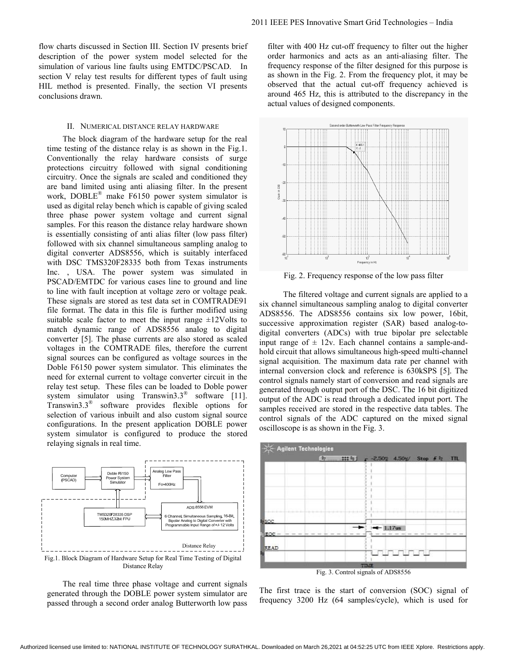flow charts discussed in Section III. Section IV presents brief description of the power system model selected for the simulation of various line faults using EMTDC/PSCAD. In section V relay test results for different types of fault using HIL method is presented. Finally, the section VI presents conclusions drawn.

#### II. NUMERICAL DISTANCE RELAY HARDWARE

The block diagram of the hardware setup for the real time testing of the distance relay is as shown in the Fig.1. Conventionally the relay hardware consists of surge protections circuitry followed with signal conditioning circuitry. Once the signals are scaled and conditioned they are band limited using anti aliasing filter. In the present work, DOBLE® make F6150 power system simulator is used as digital relay bench which is capable of giving scaled three phase power system voltage and current signal samples. For this reason the distance relay hardware shown is essentially consisting of anti alias filter (low pass filter) followed with six channel simultaneous sampling analog to digital converter ADS8556, which is suitably interfaced with DSC TMS320F28335 both from Texas instruments Inc. , USA. The power system was simulated in PSCAD/EMTDC for various cases line to ground and line to line with fault inception at voltage zero or voltage peak. These signals are stored as test data set in COMTRADE91 file format. The data in this file is further modified using suitable scale factor to meet the input range  $\pm$ 12Volts to match dynamic range of ADS8556 analog to digital converter [5]. The phase currents are also stored as scaled voltages in the COMTRADE files, therefore the current signal sources can be configured as voltage sources in the Doble F6150 power system simulator. This eliminates the need for external current to voltage converter circuit in the relay test setup. These files can be loaded to Doble power system simulator using Transwin3.3<sup>®</sup> software [11]. Transwin3.3® software provides flexible options for selection of various inbuilt and also custom signal source configurations. In the present application DOBLE power system simulator is configured to produce the stored relaying signals in real time.



The real time three phase voltage and current signals generated through the DOBLE power system simulator are passed through a second order analog Butterworth low pass

filter with 400 Hz cut-off frequency to filter out the higher order harmonics and acts as an anti-aliasing filter. The frequency response of the filter designed for this purpose is as shown in the Fig. 2. From the frequency plot, it may be observed that the actual cut-off frequency achieved is around 465 Hz, this is attributed to the discrepancy in the actual values of designed components.



Fig. 2. Frequency response of the low pass filter

The filtered voltage and current signals are applied to a six channel simultaneous sampling analog to digital converter ADS8556. The ADS8556 contains six low power, 16bit, successive approximation register (SAR) based analog-todigital converters (ADCs) with true bipolar pre selectable input range of  $\pm$  12v. Each channel contains a sample-andhold circuit that allows simultaneous high-speed multi-channel signal acquisition. The maximum data rate per channel with internal conversion clock and reference is 630kSPS [5]. The control signals namely start of conversion and read signals are generated through output port of the DSC. The 16 bit digitized output of the ADC is read through a dedicated input port. The samples received are stored in the respective data tables. The control signals of the ADC captured on the mixed signal oscilloscope is as shown in the Fig. 3.



The first trace is the start of conversion (SOC) signal of frequency 3200 Hz (64 samples/cycle), which is used for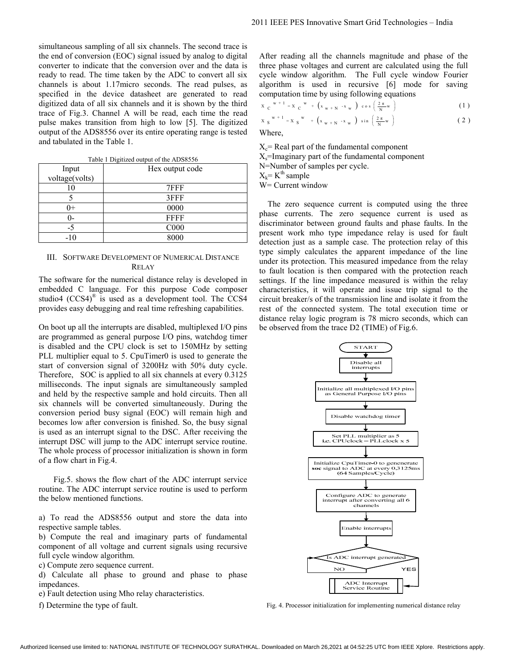simultaneous sampling of all six channels. The second trace is the end of conversion (EOC) signal issued by analog to digital converter to indicate that the conversion over and the data is ready to read. The time taken by the ADC to convert all six channels is about 1.17micro seconds. The read pulses, as specified in the device datasheet are generated to read digitized data of all six channels and it is shown by the third trace of Fig.3. Channel A will be read, each time the read pulse makes transition from high to low [5]. The digitized output of the ADS8556 over its entire operating range is tested and tabulated in the Table 1.

| Table 1 Digitized output of the AD36330 |  |  |  |  |
|-----------------------------------------|--|--|--|--|
| Hex output code                         |  |  |  |  |
|                                         |  |  |  |  |
| 7FFF                                    |  |  |  |  |
| 3FFF                                    |  |  |  |  |
| 0000                                    |  |  |  |  |
| <b>FFFF</b>                             |  |  |  |  |
| C <sub>000</sub>                        |  |  |  |  |
| 8000                                    |  |  |  |  |
|                                         |  |  |  |  |

Table 1 Digitized output of the ADS8556

## III. SOFTWARE DEVELOPMENT OF NUMERICAL DISTANCE RELAY

The software for the numerical distance relay is developed in embedded C language. For this purpose Code composer studio4 (CCS4)® is used as a development tool. The CCS4 provides easy debugging and real time refreshing capabilities.

On boot up all the interrupts are disabled, multiplexed I/O pins are programmed as general purpose I/O pins, watchdog timer is disabled and the CPU clock is set to 150MHz by setting PLL multiplier equal to 5. CpuTimer0 is used to generate the start of conversion signal of 3200Hz with 50% duty cycle. Therefore, SOC is applied to all six channels at every 0.3125 milliseconds. The input signals are simultaneously sampled and held by the respective sample and hold circuits. Then all six channels will be converted simultaneously. During the conversion period busy signal (EOC) will remain high and becomes low after conversion is finished. So, the busy signal is used as an interrupt signal to the DSC. After receiving the interrupt DSC will jump to the ADC interrupt service routine. The whole process of processor initialization is shown in form of a flow chart in Fig.4.

Fig.5. shows the flow chart of the ADC interrupt service routine. The ADC interrupt service routine is used to perform the below mentioned functions.

a) To read the ADS8556 output and store the data into respective sample tables.

b) Compute the real and imaginary parts of fundamental component of all voltage and current signals using recursive full cycle window algorithm.

c) Compute zero sequence current.

d) Calculate all phase to ground and phase to phase impedances.

e) Fault detection using Mho relay characteristics.

f) Determine the type of fault.

After reading all the channels magnitude and phase of the three phase voltages and current are calculated using the full cycle window algorithm. The Full cycle window Fourier algorithm is used in recursive [6] mode for saving computation time by using following equations

$$
x_{C}^{w+1} = x_{C}^{w} + (x_{w+N} - x_{w}) \cos \left( \frac{2\pi}{N} w \right)
$$
 (1)

$$
\begin{array}{c}\n\text{X} \text{S}^{w+1} = \text{X} \text{S}^{w} + \left(\text{x}_{w+N} \cdot \text{x}_{w}\right) \sin\left(\frac{2\pi}{N}w\right)\n\end{array} \tag{2}
$$

Where,

 $X_c$ = Real part of the fundamental component  $X_s$ =Imaginary part of the fundamental component

N=Number of samples per cycle.

 $X_k = K^{th}$  sample

W= Current window

The zero sequence current is computed using the three phase currents. The zero sequence current is used as discriminator between ground faults and phase faults. In the present work mho type impedance relay is used for fault detection just as a sample case. The protection relay of this type simply calculates the apparent impedance of the line under its protection. This measured impedance from the relay to fault location is then compared with the protection reach settings. If the line impedance measured is within the relay characteristics, it will operate and issue trip signal to the circuit breaker/s of the transmission line and isolate it from the rest of the connected system. The total execution time or distance relay logic program is 78 micro seconds, which can be observed from the trace D2 (TIME) of Fig.6.



Fig. 4. Processor initialization for implementing numerical distance relay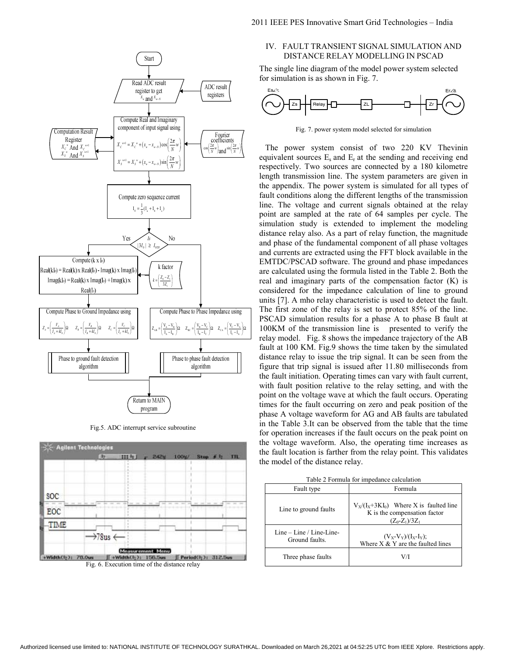

Fig.5. ADC interrupt service subroutine



Fig. 6. Execution time of the distance relay

### IV. FAULT TRANSIENT SIGNAL SIMULATION AND DISTANCE RELAY MODELLING IN PSCAD

The single line diagram of the model power system selected for simulation is as shown in Fig. 7.



Fig. 7. power system model selected for simulation

The power system consist of two 220 KV Thevinin equivalent sources  $E_s$  and  $E_r$  at the sending and receiving end respectively. Two sources are connected by a 180 kilometre length transmission line. The system parameters are given in the appendix. The power system is simulated for all types of fault conditions along the different lengths of the transmission line. The voltage and current signals obtained at the relay point are sampled at the rate of 64 samples per cycle. The simulation study is extended to implement the modeling distance relay also. As a part of relay function, the magnitude and phase of the fundamental component of all phase voltages and currents are extracted using the FFT block available in the EMTDC/PSCAD software. The ground and phase impedances are calculated using the formula listed in the Table 2. Both the real and imaginary parts of the compensation factor (K) is considered for the impedance calculation of line to ground units [7]. A mho relay characteristic is used to detect the fault. The first zone of the relay is set to protect 85% of the line. PSCAD simulation results for a phase A to phase B fault at 100KM of the transmission line is presented to verify the relay model. Fig. 8 shows the impedance trajectory of the AB fault at 100 KM. Fig.9 shows the time taken by the simulated distance relay to issue the trip signal. It can be seen from the figure that trip signal is issued after 11.80 milliseconds from the fault initiation. Operating times can vary with fault current, with fault position relative to the relay setting, and with the point on the voltage wave at which the fault occurs. Operating times for the fault occurring on zero and peak position of the phase A voltage waveform for AG and AB faults are tabulated in the Table 3.It can be observed from the table that the time for operation increases if the fault occurs on the peak point on the voltage waveform. Also, the operating time increases as the fault location is farther from the relay point. This validates the model of the distance relay.

| Fault type                                      | Formula                                                                                       |  |  |
|-------------------------------------------------|-----------------------------------------------------------------------------------------------|--|--|
| Line to ground faults                           | $V_X/(I_X+3KI_0)$ Where X is faulted line<br>K is the compensation factor<br>$(Z_0-Z_1)/3Z_1$ |  |  |
| $Line - Line / Line - Line -$<br>Ground faults. | $(V_{X}-V_{Y})/(I_{X}-I_{Y});$<br>Where $X & Y$ are the faulted lines                         |  |  |
| Three phase faults                              |                                                                                               |  |  |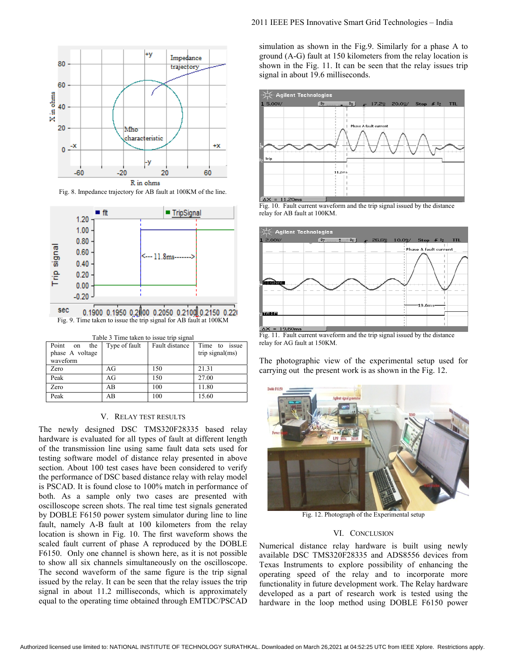

Fig. 8. Impedance trajectory for AB fault at 100KM of the line.





| $1.0018 \pm .00011$ . The content to rooms the present |               |                |                    |  |
|--------------------------------------------------------|---------------|----------------|--------------------|--|
| Point<br>the<br>on                                     | Type of fault | Fault distance | Time to<br>issue   |  |
| phase A voltage                                        |               |                | trip signal $(ms)$ |  |
| waveform                                               |               |                |                    |  |
| Zero                                                   | AG            | 150            | 21.31              |  |
| Peak                                                   | AG            | 150            | 27.00              |  |
| Zero                                                   | AВ            | 100            | 11.80              |  |
| Peak                                                   | AB            | 100            | 15.60              |  |

Table 3 Time taken to issue trip signal

#### V. RELAY TEST RESULTS

The newly designed DSC TMS320F28335 based relay hardware is evaluated for all types of fault at different length of the transmission line using same fault data sets used for testing software model of distance relay presented in above section. About 100 test cases have been considered to verify the performance of DSC based distance relay with relay model is PSCAD. It is found close to 100% match in performance of both. As a sample only two cases are presented with oscilloscope screen shots. The real time test signals generated by DOBLE F6150 power system simulator during line to line fault, namely A-B fault at 100 kilometers from the relay location is shown in Fig. 10. The first waveform shows the scaled fault current of phase A reproduced by the DOBLE F6150. Only one channel is shown here, as it is not possible to show all six channels simultaneously on the oscilloscope. The second waveform of the same figure is the trip signal issued by the relay. It can be seen that the relay issues the trip signal in about 11.2 milliseconds, which is approximately equal to the operating time obtained through EMTDC/PSCAD simulation as shown in the Fig.9. Similarly for a phase A to ground (A-G) fault at 150 kilometers from the relay location is shown in the Fig. 11. It can be seen that the relay issues trip signal in about 19.6 milliseconds.



Fig. 10. Fault current waveform and the trip signal issued by the distance relay for AB fault at 100KM.



Fig. 11. Fault current waveform and the trip signal issued by the distance relay for AG fault at 150KM.

The photographic view of the experimental setup used for carrying out the present work is as shown in the Fig. 12.



Fig. 12. Photograph of the Experimental setup

## VI. CONCLUSION

Numerical distance relay hardware is built using newly available DSC TMS320F28335 and ADS8556 devices from Texas Instruments to explore possibility of enhancing the operating speed of the relay and to incorporate more functionality in future development work. The Relay hardware developed as a part of research work is tested using the hardware in the loop method using DOBLE F6150 power